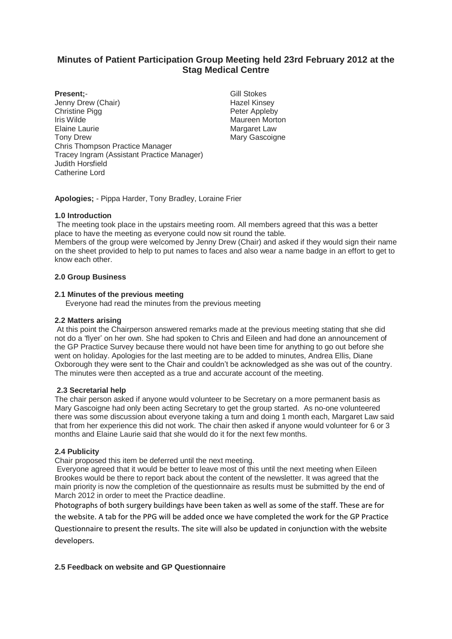# **Minutes of Patient Participation Group Meeting held 23rd February 2012 at the Stag Medical Centre**

## **Present;**-

- Jenny Drew (Chair) Christine Pigg Iris Wilde Elaine Laurie Tony Drew Chris Thompson Practice Manager Tracey Ingram (Assistant Practice Manager) Judith Horsfield Catherine Lord
- Gill Stokes Hazel Kinsey Peter Appleby Maureen Morton Margaret Law Mary Gascoigne

**Apologies;** - Pippa Harder, Tony Bradley, Loraine Frier

# **1.0 Introduction**

The meeting took place in the upstairs meeting room. All members agreed that this was a better place to have the meeting as everyone could now sit round the table.

Members of the group were welcomed by Jenny Drew (Chair) and asked if they would sign their name on the sheet provided to help to put names to faces and also wear a name badge in an effort to get to know each other.

## **2.0 Group Business**

## **2.1 Minutes of the previous meeting**

Everyone had read the minutes from the previous meeting

## **2.2 Matters arising**

At this point the Chairperson answered remarks made at the previous meeting stating that she did not do a 'flyer' on her own. She had spoken to Chris and Eileen and had done an announcement of the GP Practice Survey because there would not have been time for anything to go out before she went on holiday. Apologies for the last meeting are to be added to minutes, Andrea Ellis, Diane Oxborough they were sent to the Chair and couldn't be acknowledged as she was out of the country. The minutes were then accepted as a true and accurate account of the meeting.

# **2.3 Secretarial help**

The chair person asked if anyone would volunteer to be Secretary on a more permanent basis as Mary Gascoigne had only been acting Secretary to get the group started. As no-one volunteered there was some discussion about everyone taking a turn and doing 1 month each, Margaret Law said that from her experience this did not work. The chair then asked if anyone would volunteer for 6 or 3 months and Elaine Laurie said that she would do it for the next few months.

#### **2.4 Publicity**

Chair proposed this item be deferred until the next meeting.

Everyone agreed that it would be better to leave most of this until the next meeting when Eileen Brookes would be there to report back about the content of the newsletter. It was agreed that the main priority is now the completion of the questionnaire as results must be submitted by the end of March 2012 in order to meet the Practice deadline.

Photographs of both surgery buildings have been taken as well as some of the staff. These are for the website. A tab for the PPG will be added once we have completed the work for the GP Practice

Questionnaire to present the results. The site will also be updated in conjunction with the website developers.

# **2.5 Feedback on website and GP Questionnaire**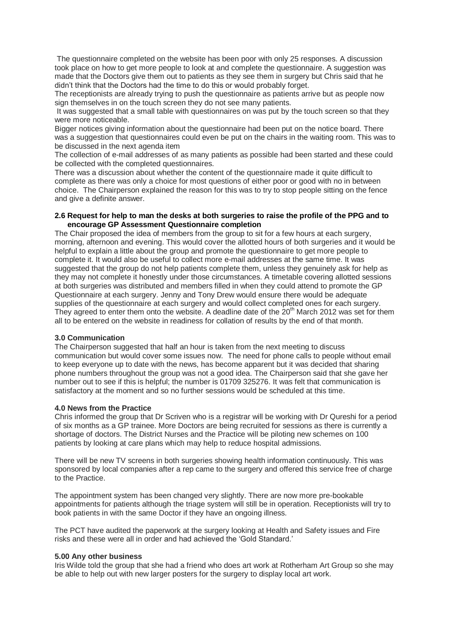The questionnaire completed on the website has been poor with only 25 responses. A discussion took place on how to get more people to look at and complete the questionnaire. A suggestion was made that the Doctors give them out to patients as they see them in surgery but Chris said that he didn't think that the Doctors had the time to do this or would probably forget.

The receptionists are already trying to push the questionnaire as patients arrive but as people now sign themselves in on the touch screen they do not see many patients.

It was suggested that a small table with questionnaires on was put by the touch screen so that they were more noticeable.

Bigger notices giving information about the questionnaire had been put on the notice board. There was a suggestion that questionnaires could even be put on the chairs in the waiting room. This was to be discussed in the next agenda item

The collection of e-mail addresses of as many patients as possible had been started and these could be collected with the completed questionnaires.

There was a discussion about whether the content of the questionnaire made it quite difficult to complete as there was only a choice for most questions of either poor or good with no in between choice. The Chairperson explained the reason for this was to try to stop people sitting on the fence and give a definite answer.

#### **2.6 Request for help to man the desks at both surgeries to raise the profile of the PPG and to encourage GP Assessment Questionnaire completion**

The Chair proposed the idea of members from the group to sit for a few hours at each surgery, morning, afternoon and evening. This would cover the allotted hours of both surgeries and it would be helpful to explain a little about the group and promote the questionnaire to get more people to complete it. It would also be useful to collect more e-mail addresses at the same time. It was suggested that the group do not help patients complete them, unless they genuinely ask for help as they may not complete it honestly under those circumstances. A timetable covering allotted sessions at both surgeries was distributed and members filled in when they could attend to promote the GP Questionnaire at each surgery. Jenny and Tony Drew would ensure there would be adequate supplies of the questionnaire at each surgery and would collect completed ones for each surgery. They agreed to enter them onto the website. A deadline date of the  $20<sup>th</sup>$  March 2012 was set for them all to be entered on the website in readiness for collation of results by the end of that month.

#### **3.0 Communication**

The Chairperson suggested that half an hour is taken from the next meeting to discuss communication but would cover some issues now. The need for phone calls to people without email to keep everyone up to date with the news, has become apparent but it was decided that sharing phone numbers throughout the group was not a good idea. The Chairperson said that she gave her number out to see if this is helpful; the number is 01709 325276. It was felt that communication is satisfactory at the moment and so no further sessions would be scheduled at this time.

#### **4.0 News from the Practice**

Chris informed the group that Dr Scriven who is a registrar will be working with Dr Qureshi for a period of six months as a GP trainee. More Doctors are being recruited for sessions as there is currently a shortage of doctors. The District Nurses and the Practice will be piloting new schemes on 100 patients by looking at care plans which may help to reduce hospital admissions.

There will be new TV screens in both surgeries showing health information continuously. This was sponsored by local companies after a rep came to the surgery and offered this service free of charge to the Practice.

The appointment system has been changed very slightly. There are now more pre-bookable appointments for patients although the triage system will still be in operation. Receptionists will try to book patients in with the same Doctor if they have an ongoing illness.

The PCT have audited the paperwork at the surgery looking at Health and Safety issues and Fire risks and these were all in order and had achieved the 'Gold Standard.'

#### **5.00 Any other business**

Iris Wilde told the group that she had a friend who does art work at Rotherham Art Group so she may be able to help out with new larger posters for the surgery to display local art work.